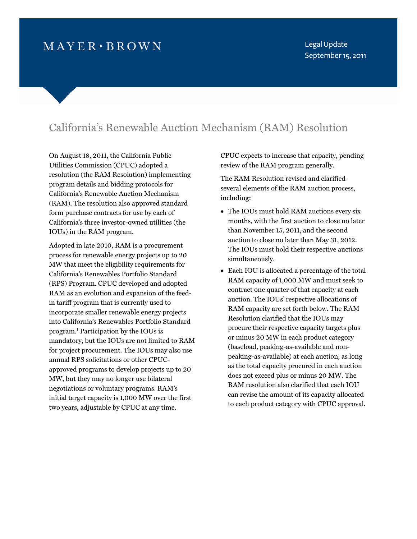## $MAYER \cdot BROWN$

Legal Update September 15, 2011

## California's Renewable Auction Mechanism (RAM) Resolution

On August 18, 2011, the California Public Utilities Commission (CPUC) adopted a resolution (the RAM Resolution) implementing program details and bidding protocols for California's Renewable Auction Mechanism (RAM). The resolution also approved standard form purchase contracts for use by each of California's three investor-owned utilities (the IOUs) in the RAM program.

Adopted in late 2010, RAM is a procurement process for renewable energy projects up to 20 MW that meet the eligibility requirements for California's Renewables Portfolio Standard (RPS) Program. CPUC developed and adopted RAM as an evolution and expansion of the feedin tariff program that is currently used to incorporate smaller renewable energy projects into California's Renewables Portfolio Standard progr[am.1](#page-2-0) Participation by the IOUs is mandatory, but the IOUs are not limited to RAM for project procurement. The IOUs may also use annual RPS solicitations or other CPUCapproved programs to develop projects up to 20 MW, but they may no longer use bilateral negotiations or voluntary programs. RAM's initial target capacity is 1,000 MW over the first two years, adjustable by CPUC at any time.

CPUC expects to increase that capacity, pending review of the RAM program generally.

The RAM Resolution revised and clarified several elements of the RAM auction process, including:

- The IOUs must hold RAM auctions every six months, with the first auction to close no later than November 15, 2011, and the second auction to close no later than May 31, 2012. The IOUs must hold their respective auctions simultaneously.
- Each IOU is allocated a percentage of the total RAM capacity of 1,000 MW and must seek to contract one quarter of that capacity at each auction. The IOUs' respective allocations of RAM capacity are set forth below. The RAM Resolution clarified that the IOUs may procure their respective capacity targets plus or minus 20 MW in each product category (baseload, peaking-as-available and nonpeaking-as-available) at each auction, as long as the total capacity procured in each auction does not exceed plus or minus 20 MW. The RAM resolution also clarified that each IOU can revise the amount of its capacity allocated to each product category with CPUC approval.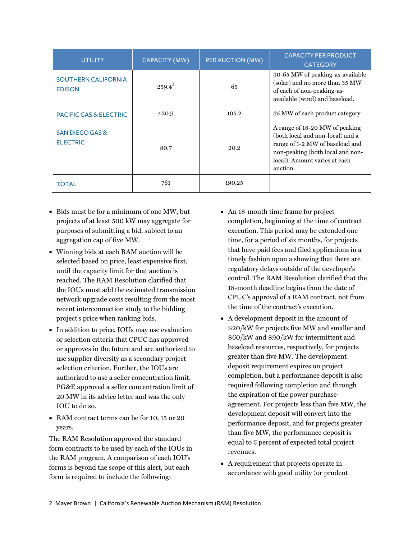| <b>UTILITY</b>                              | CAPACITY (MW) | PER AUCTION (MW) | <b>CAPACITY PER PRODUCT</b><br><b>CATEGORY</b>                                                                                                                                         |
|---------------------------------------------|---------------|------------------|----------------------------------------------------------------------------------------------------------------------------------------------------------------------------------------|
| <b>SOUTHERN CALIFORNIA</b><br><b>EDISON</b> | $259.4^2$     | 65               | 30-65 MW of peaking-as-available<br>(solar) and no more than 35 MW<br>of each of non-peaking-as-<br>available (wind) and baseload.                                                     |
| <b>PACIFIC GAS &amp; ELECTRIC</b>           | 420.9         | 105.2            | 35 MW of each product category                                                                                                                                                         |
| SAN DIEGO GAS &<br><b>ELECTRIC</b>          | 80.7          | 20.2             | A range of 18-20 MW of peaking<br>(both local and non-local) and a<br>range of 1-2 MW of baseload and<br>non-peaking (both local and non-<br>local). Amount varies at each<br>auction. |
| <b>TOTAL</b>                                | 761           | 190.25           |                                                                                                                                                                                        |

- Bids must be for a minimum of one MW, but projects of at least 500 kW may aggregate for purposes of submitting a bid, subject to an aggregation cap of five MW.
- Winning bids at each RAM auction will be selected based on price, least expensive first, until the capacity limit for that auction is reached. The RAM Resolution clarified that the IOUs must add the estimated transmission network upgrade costs resulting from the most recent interconnection study to the bidding project's price when ranking bids.
- In addition to price, IOUs may use evaluation or selection criteria that CPUC has approved or approves in the future and are authorized to use supplier diversity as a secondary project selection criterion. Further, the IOUs are authorized to use a seller concentration limit. PG&E approved a seller concentration limit of 20 MW in its advice letter and was the only IOU to do so.
- RAM contract terms can be for 10, 15 or 20 years.

The RAM Resolution approved the standard form contracts to be used by each of the IOUs in the RAM program. A comparison of each IOU's forms is beyond the scope of this alert, but each form is required to include the following:

- An 18-month time frame for project completion, beginning at the time of contract execution. This period may be extended one time, for a period of six months, for projects that have paid fees and filed applications in a timely fashion upon a showing that there are regulatory delays outside of the developer's control. The RAM Resolution clarified that the 18-month deadline begins from the date of CPUC's approval of a RAM contract, not from the time of the contract's execution.
- A development deposit in the amount of \$20/kW for projects five MW and smaller and \$60/kW and \$90/kW for intermittent and baseload resources, respectively, for projects greater than five MW. The development deposit requirement expires on project completion, but a performance deposit is also required following completion and through the expiration of the power purchase agreement. For projects less than five MW, the development deposit will convert into the performance deposit, and for projects greater than five MW, the performance deposit is equal to 5 percent of expected total project revenues.
- A requirement that projects operate in accordance with good utility (or prudent